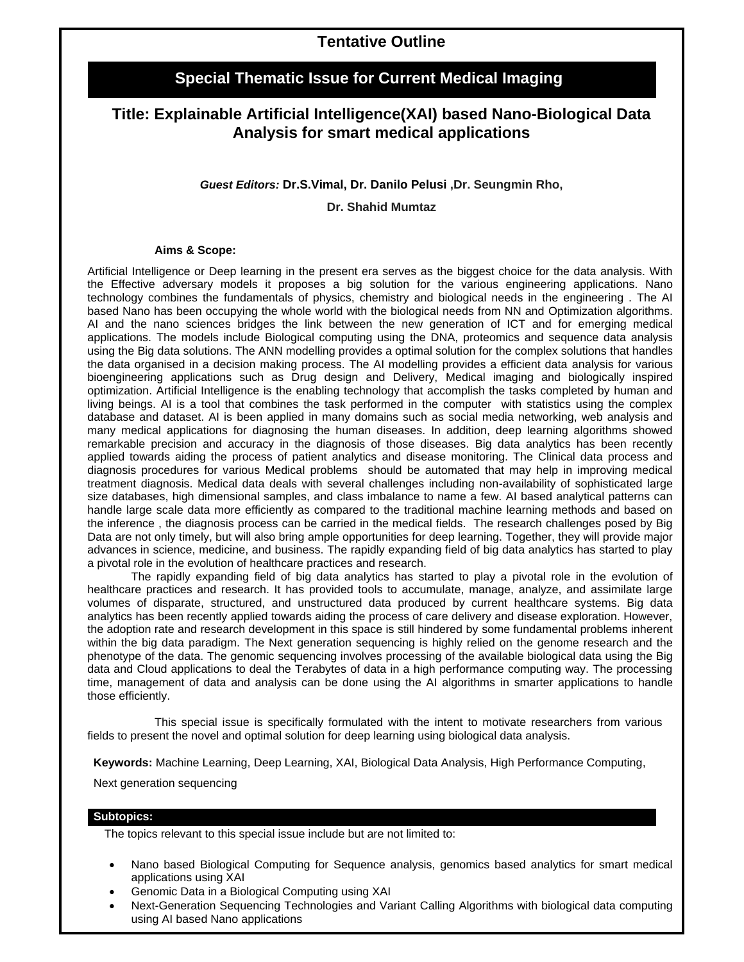# **Special Thematic Issue for Current Medical Imaging**

# **Title: Explainable Artificial Intelligence(XAI) based Nano-Biological Data Analysis for smart medical applications**

### *Guest Editors:* **Dr.S.Vimal, Dr. Danilo Pelusi ,Dr. Seungmin Rho,**

**Dr. Shahid Mumtaz**

#### **Aims & Scope:**

Artificial Intelligence or Deep learning in the present era serves as the biggest choice for the data analysis. With the Effective adversary models it proposes a big solution for the various engineering applications. Nano technology combines the fundamentals of physics, chemistry and biological needs in the engineering . The AI based Nano has been occupying the whole world with the biological needs from NN and Optimization algorithms. AI and the nano sciences bridges the link between the new generation of ICT and for emerging medical applications. The models include Biological computing using the DNA, proteomics and sequence data analysis using the Big data solutions. The ANN modelling provides a optimal solution for the complex solutions that handles the data organised in a decision making process. The AI modelling provides a efficient data analysis for various bioengineering applications such as Drug design and Delivery, Medical imaging and biologically inspired optimization. Artificial Intelligence is the enabling technology that accomplish the tasks completed by human and living beings. AI is a tool that combines the task performed in the computer with statistics using the complex database and dataset. AI is been applied in many domains such as social media networking, web analysis and many medical applications for diagnosing the human diseases. In addition, deep learning algorithms showed remarkable precision and accuracy in the diagnosis of those diseases. Big data analytics has been recently applied towards aiding the process of patient analytics and disease monitoring. The Clinical data process and diagnosis procedures for various Medical problems should be automated that may help in improving medical treatment diagnosis. Medical data deals with several challenges including non-availability of sophisticated large size databases, high dimensional samples, and class imbalance to name a few. AI based analytical patterns can handle large scale data more efficiently as compared to the traditional machine learning methods and based on the inference , the diagnosis process can be carried in the medical fields. The research challenges posed by Big Data are not only timely, but will also bring ample opportunities for deep learning. Together, they will provide major advances in science, medicine, and business. The rapidly expanding field of big data analytics has started to play a pivotal role in the evolution of healthcare practices and research.

The rapidly expanding field of big data analytics has started to play a pivotal role in the evolution of healthcare practices and research. It has provided tools to accumulate, manage, analyze, and assimilate large volumes of disparate, structured, and unstructured data produced by current healthcare systems. Big data analytics has been recently applied towards aiding the process of care delivery and disease exploration. However, the adoption rate and research development in this space is still hindered by some fundamental problems inherent within the big data paradigm. The Next generation sequencing is highly relied on the genome research and the phenotype of the data. The genomic sequencing involves processing of the available biological data using the Big data and Cloud applications to deal the Terabytes of data in a high performance computing way. The processing time, management of data and analysis can be done using the AI algorithms in smarter applications to handle those efficiently.

This special issue is specifically formulated with the intent to motivate researchers from various fields to present the novel and optimal solution for deep learning using biological data analysis.

**Keywords:** Machine Learning, Deep Learning, XAI, Biological Data Analysis, High Performance Computing,

Next generation sequencing

### **Subtopics:**

The topics relevant to this special issue include but are not limited to:

- Nano based Biological Computing for Sequence analysis, genomics based analytics for smart medical applications using XAI
- Genomic Data in a Biological Computing using XAI
- Next-Generation Sequencing Technologies and Variant Calling Algorithms with biological data computing using AI based Nano applications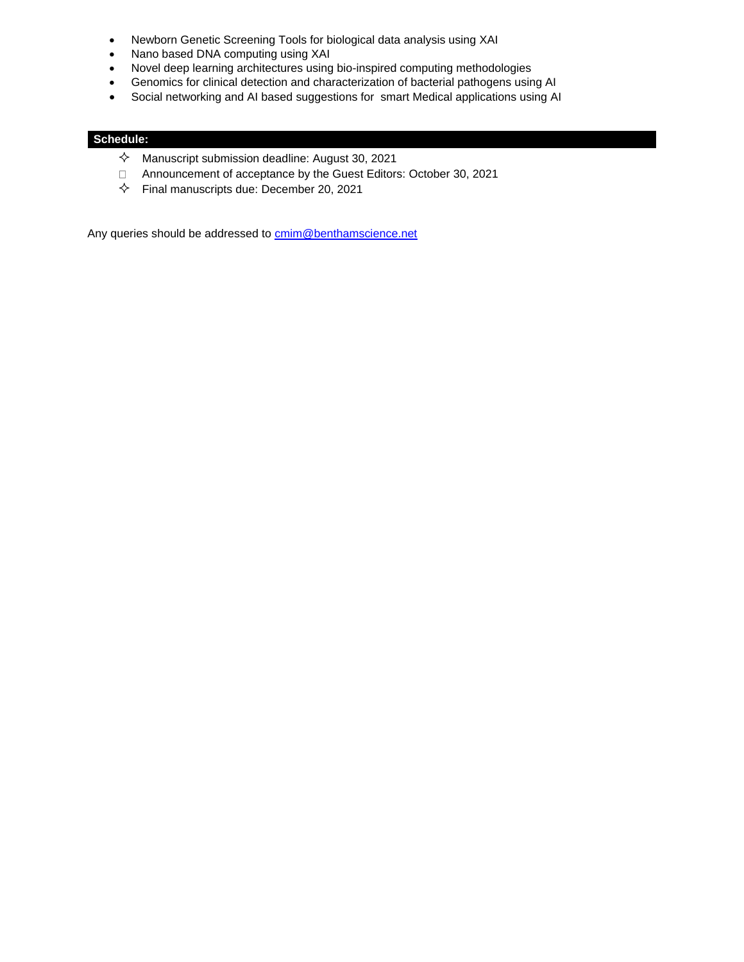- Newborn Genetic Screening Tools for biological data analysis using XAI
- Nano based DNA computing using XAI
- Novel deep learning architectures using bio-inspired computing methodologies
- Genomics for clinical detection and characterization of bacterial pathogens using AI
- Social networking and AI based suggestions for smart Medical applications using AI

## **Schedule:**

- $\Diamond$  Manuscript submission deadline: August 30, 2021
- $\Box$ Announcement of acceptance by the Guest Editors: October 30, 2021
- $\diamondsuit$  Final manuscripts due: December 20, 2021

Any queries should be addressed to [cmim@benthamscience.net](mailto:cmim@benthamscience.net)